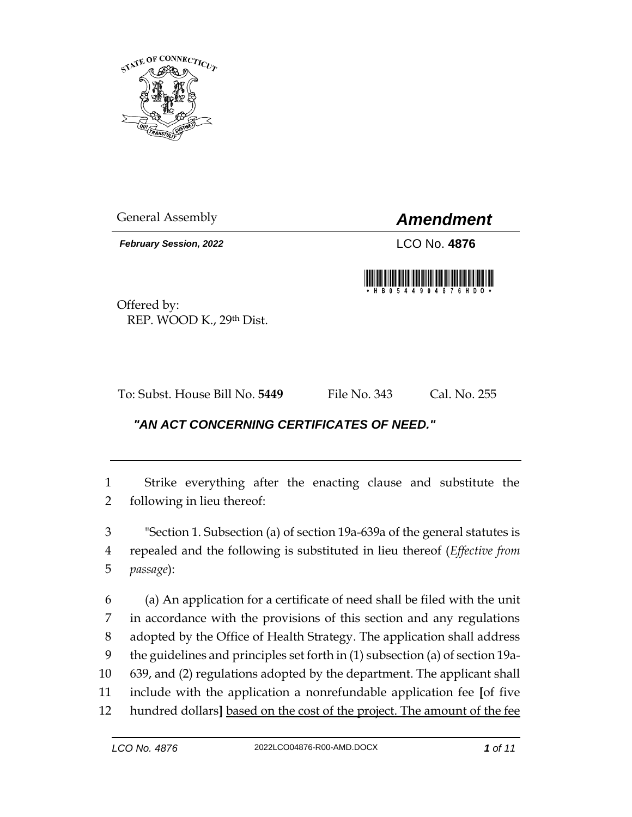

*February Session, 2022* LCO No. **4876**

General Assembly *Amendment*

Offered by: REP. WOOD K., 29th Dist.

To: Subst. House Bill No. **5449** File No. 343 Cal. No. 255

## *"AN ACT CONCERNING CERTIFICATES OF NEED."*

 Strike everything after the enacting clause and substitute the following in lieu thereof:

 "Section 1. Subsection (a) of section 19a-639a of the general statutes is repealed and the following is substituted in lieu thereof (*Effective from passage*):

 (a) An application for a certificate of need shall be filed with the unit in accordance with the provisions of this section and any regulations adopted by the Office of Health Strategy. The application shall address the guidelines and principles set forth in (1) subsection (a) of section 19a- 639, and (2) regulations adopted by the department. The applicant shall include with the application a nonrefundable application fee **[**of five hundred dollars**]** based on the cost of the project. The amount of the fee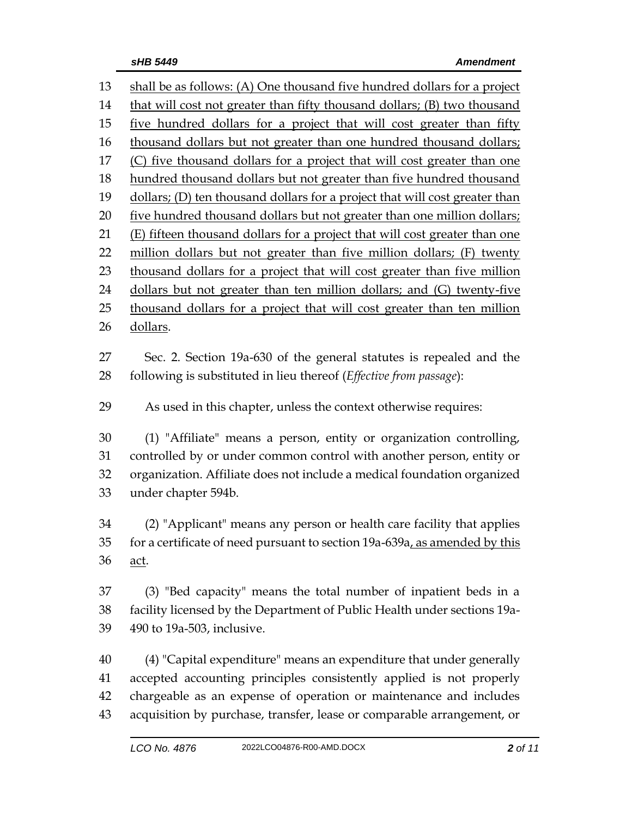shall be as follows: (A) One thousand five hundred dollars for a project that will cost not greater than fifty thousand dollars; (B) two thousand 15 five hundred dollars for a project that will cost greater than fifty thousand dollars but not greater than one hundred thousand dollars; 17 (C) five thousand dollars for a project that will cost greater than one 18 hundred thousand dollars but not greater than five hundred thousand 19 dollars; (D) ten thousand dollars for a project that will cost greater than 20 five hundred thousand dollars but not greater than one million dollars; 21 (E) fifteen thousand dollars for a project that will cost greater than one 22 million dollars but not greater than five million dollars; (F) twenty 23 thousand dollars for a project that will cost greater than five million dollars but not greater than ten million dollars; and (G) twenty-five 25 thousand dollars for a project that will cost greater than ten million dollars. Sec. 2. Section 19a-630 of the general statutes is repealed and the following is substituted in lieu thereof (*Effective from passage*): As used in this chapter, unless the context otherwise requires: (1) "Affiliate" means a person, entity or organization controlling, controlled by or under common control with another person, entity or organization. Affiliate does not include a medical foundation organized under chapter 594b. (2) "Applicant" means any person or health care facility that applies 35 for a certificate of need pursuant to section 19a-639a, as amended by this act. (3) "Bed capacity" means the total number of inpatient beds in a facility licensed by the Department of Public Health under sections 19a- 490 to 19a-503, inclusive. (4) "Capital expenditure" means an expenditure that under generally accepted accounting principles consistently applied is not properly chargeable as an expense of operation or maintenance and includes

acquisition by purchase, transfer, lease or comparable arrangement, or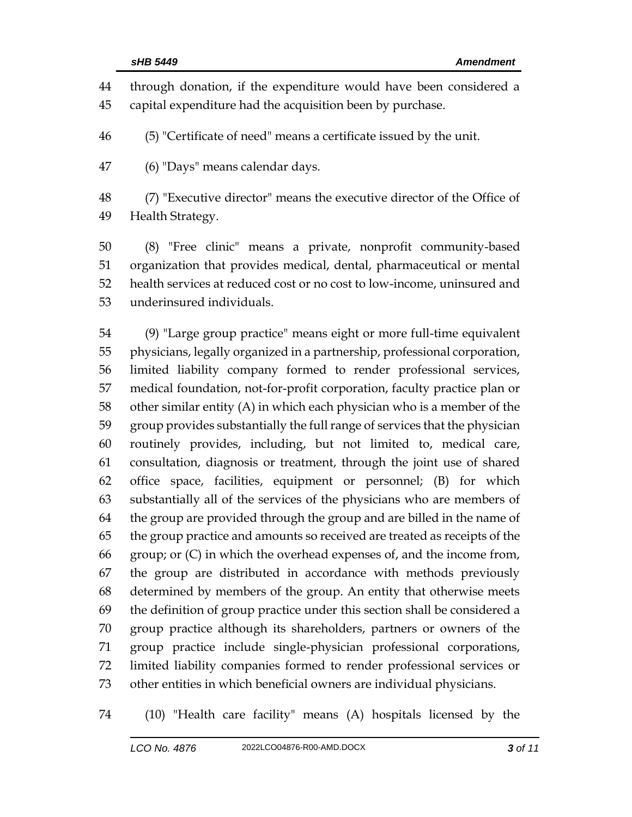through donation, if the expenditure would have been considered a capital expenditure had the acquisition been by purchase. (5) "Certificate of need" means a certificate issued by the unit. (6) "Days" means calendar days. (7) "Executive director" means the executive director of the Office of Health Strategy. (8) "Free clinic" means a private, nonprofit community-based organization that provides medical, dental, pharmaceutical or mental health services at reduced cost or no cost to low-income, uninsured and underinsured individuals.

 (9) "Large group practice" means eight or more full-time equivalent physicians, legally organized in a partnership, professional corporation, limited liability company formed to render professional services, medical foundation, not-for-profit corporation, faculty practice plan or other similar entity (A) in which each physician who is a member of the group provides substantially the full range of services that the physician routinely provides, including, but not limited to, medical care, consultation, diagnosis or treatment, through the joint use of shared office space, facilities, equipment or personnel; (B) for which substantially all of the services of the physicians who are members of the group are provided through the group and are billed in the name of the group practice and amounts so received are treated as receipts of the group; or (C) in which the overhead expenses of, and the income from, the group are distributed in accordance with methods previously determined by members of the group. An entity that otherwise meets the definition of group practice under this section shall be considered a group practice although its shareholders, partners or owners of the group practice include single-physician professional corporations, limited liability companies formed to render professional services or other entities in which beneficial owners are individual physicians.

(10) "Health care facility" means (A) hospitals licensed by the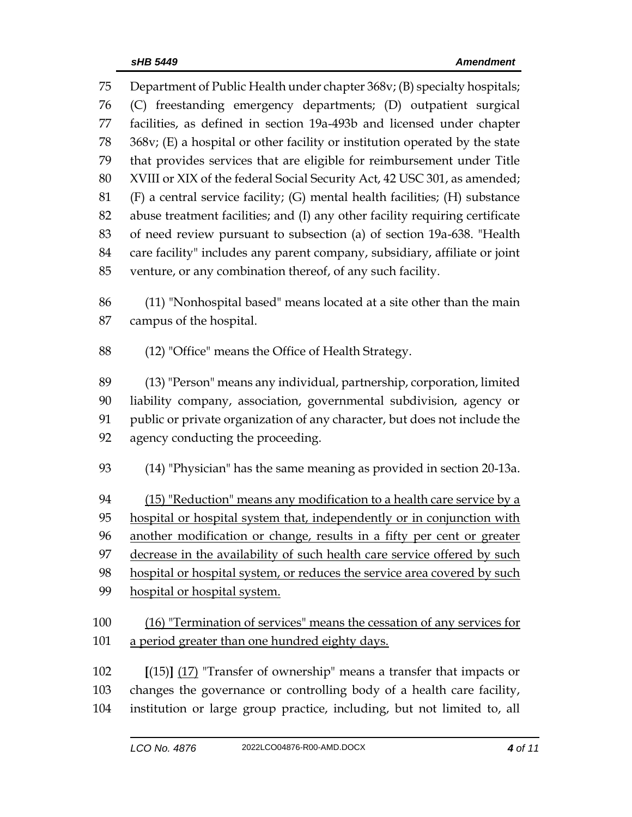Department of Public Health under chapter 368v; (B) specialty hospitals; (C) freestanding emergency departments; (D) outpatient surgical facilities, as defined in section 19a-493b and licensed under chapter 368v; (E) a hospital or other facility or institution operated by the state that provides services that are eligible for reimbursement under Title XVIII or XIX of the federal Social Security Act, 42 USC 301, as amended; (F) a central service facility; (G) mental health facilities; (H) substance abuse treatment facilities; and (I) any other facility requiring certificate of need review pursuant to subsection (a) of section 19a-638. "Health care facility" includes any parent company, subsidiary, affiliate or joint venture, or any combination thereof, of any such facility.

 (11) "Nonhospital based" means located at a site other than the main campus of the hospital.

(12) "Office" means the Office of Health Strategy.

 (13) "Person" means any individual, partnership, corporation, limited liability company, association, governmental subdivision, agency or public or private organization of any character, but does not include the agency conducting the proceeding.

94 (15) "Reduction" means any modification to a health care service by a hospital or hospital system that, independently or in conjunction with another modification or change, results in a fifty per cent or greater decrease in the availability of such health care service offered by such hospital or hospital system, or reduces the service area covered by such hospital or hospital system.

 (16) "Termination of services" means the cessation of any services for a period greater than one hundred eighty days.

 **[**(15)**]** (17) "Transfer of ownership" means a transfer that impacts or changes the governance or controlling body of a health care facility, institution or large group practice, including, but not limited to, all

(14) "Physician" has the same meaning as provided in section 20-13a.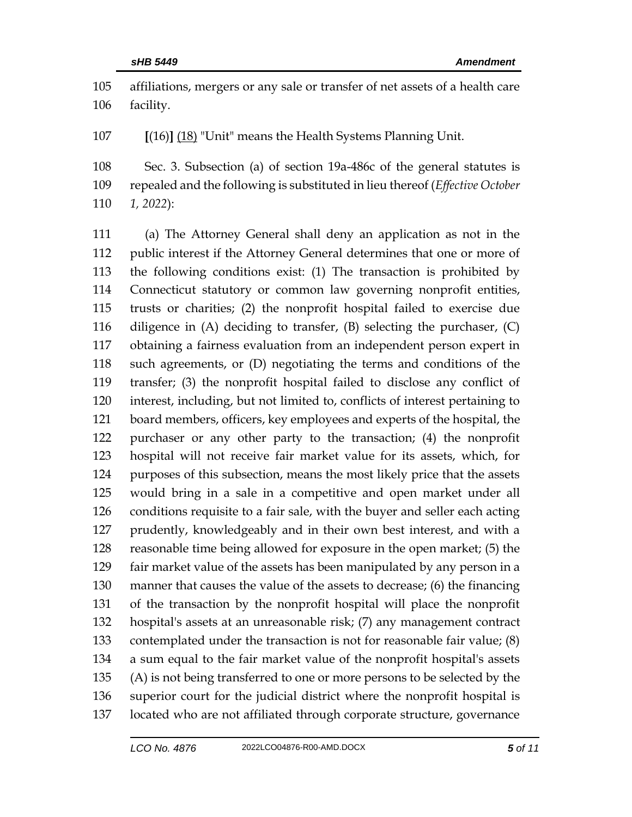affiliations, mergers or any sale or transfer of net assets of a health care facility.

**[**(16)**]** (18) "Unit" means the Health Systems Planning Unit.

 Sec. 3. Subsection (a) of section 19a-486c of the general statutes is repealed and the following is substituted in lieu thereof (*Effective October 1, 2022*):

 (a) The Attorney General shall deny an application as not in the public interest if the Attorney General determines that one or more of the following conditions exist: (1) The transaction is prohibited by Connecticut statutory or common law governing nonprofit entities, trusts or charities; (2) the nonprofit hospital failed to exercise due diligence in (A) deciding to transfer, (B) selecting the purchaser, (C) obtaining a fairness evaluation from an independent person expert in such agreements, or (D) negotiating the terms and conditions of the transfer; (3) the nonprofit hospital failed to disclose any conflict of interest, including, but not limited to, conflicts of interest pertaining to board members, officers, key employees and experts of the hospital, the purchaser or any other party to the transaction; (4) the nonprofit hospital will not receive fair market value for its assets, which, for purposes of this subsection, means the most likely price that the assets would bring in a sale in a competitive and open market under all conditions requisite to a fair sale, with the buyer and seller each acting prudently, knowledgeably and in their own best interest, and with a reasonable time being allowed for exposure in the open market; (5) the fair market value of the assets has been manipulated by any person in a manner that causes the value of the assets to decrease; (6) the financing of the transaction by the nonprofit hospital will place the nonprofit hospital's assets at an unreasonable risk; (7) any management contract contemplated under the transaction is not for reasonable fair value; (8) a sum equal to the fair market value of the nonprofit hospital's assets (A) is not being transferred to one or more persons to be selected by the superior court for the judicial district where the nonprofit hospital is located who are not affiliated through corporate structure, governance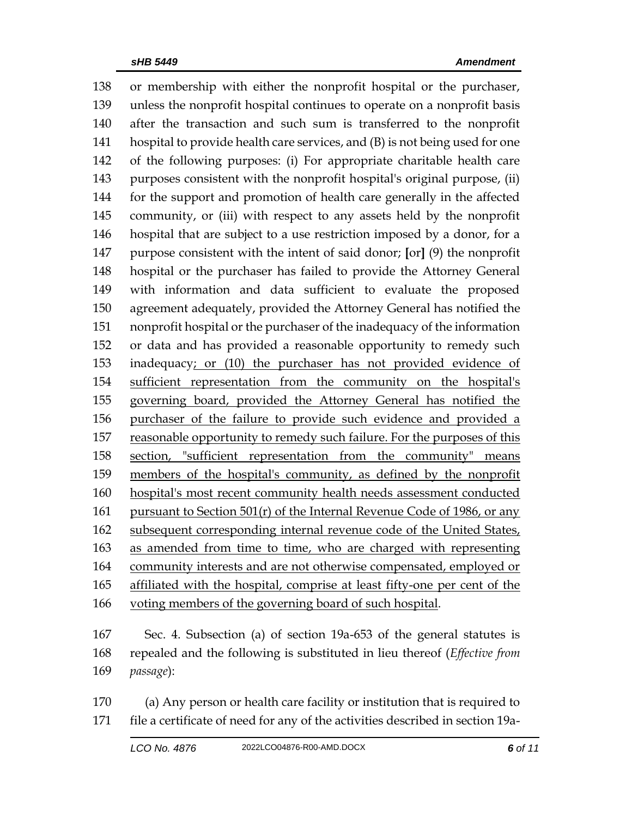or membership with either the nonprofit hospital or the purchaser, unless the nonprofit hospital continues to operate on a nonprofit basis after the transaction and such sum is transferred to the nonprofit hospital to provide health care services, and (B) is not being used for one of the following purposes: (i) For appropriate charitable health care purposes consistent with the nonprofit hospital's original purpose, (ii) for the support and promotion of health care generally in the affected community, or (iii) with respect to any assets held by the nonprofit hospital that are subject to a use restriction imposed by a donor, for a purpose consistent with the intent of said donor; **[**or**]** (9) the nonprofit hospital or the purchaser has failed to provide the Attorney General with information and data sufficient to evaluate the proposed agreement adequately, provided the Attorney General has notified the nonprofit hospital or the purchaser of the inadequacy of the information or data and has provided a reasonable opportunity to remedy such inadequacy; or (10) the purchaser has not provided evidence of sufficient representation from the community on the hospital's governing board, provided the Attorney General has notified the purchaser of the failure to provide such evidence and provided a reasonable opportunity to remedy such failure. For the purposes of this section, "sufficient representation from the community" means members of the hospital's community, as defined by the nonprofit hospital's most recent community health needs assessment conducted 161 pursuant to Section  $501(r)$  of the Internal Revenue Code of 1986, or any subsequent corresponding internal revenue code of the United States, as amended from time to time, who are charged with representing community interests and are not otherwise compensated, employed or affiliated with the hospital, comprise at least fifty-one per cent of the voting members of the governing board of such hospital.

 Sec. 4. Subsection (a) of section 19a-653 of the general statutes is repealed and the following is substituted in lieu thereof (*Effective from passage*):

 (a) Any person or health care facility or institution that is required to file a certificate of need for any of the activities described in section 19a-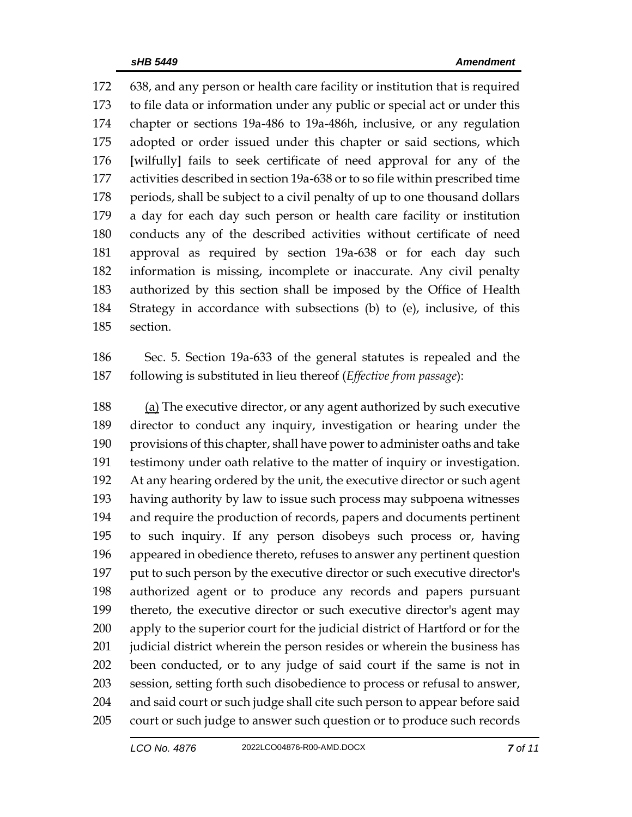638, and any person or health care facility or institution that is required to file data or information under any public or special act or under this chapter or sections 19a-486 to 19a-486h, inclusive, or any regulation adopted or order issued under this chapter or said sections, which **[**wilfully**]** fails to seek certificate of need approval for any of the activities described in section 19a-638 or to so file within prescribed time periods, shall be subject to a civil penalty of up to one thousand dollars a day for each day such person or health care facility or institution conducts any of the described activities without certificate of need approval as required by section 19a-638 or for each day such information is missing, incomplete or inaccurate. Any civil penalty authorized by this section shall be imposed by the Office of Health Strategy in accordance with subsections (b) to (e), inclusive, of this section.

 Sec. 5. Section 19a-633 of the general statutes is repealed and the following is substituted in lieu thereof (*Effective from passage*):

188 (a) The executive director, or any agent authorized by such executive director to conduct any inquiry, investigation or hearing under the provisions of this chapter, shall have power to administer oaths and take testimony under oath relative to the matter of inquiry or investigation. At any hearing ordered by the unit, the executive director or such agent having authority by law to issue such process may subpoena witnesses and require the production of records, papers and documents pertinent to such inquiry. If any person disobeys such process or, having appeared in obedience thereto, refuses to answer any pertinent question put to such person by the executive director or such executive director's authorized agent or to produce any records and papers pursuant thereto, the executive director or such executive director's agent may apply to the superior court for the judicial district of Hartford or for the 201 judicial district wherein the person resides or wherein the business has been conducted, or to any judge of said court if the same is not in session, setting forth such disobedience to process or refusal to answer, and said court or such judge shall cite such person to appear before said court or such judge to answer such question or to produce such records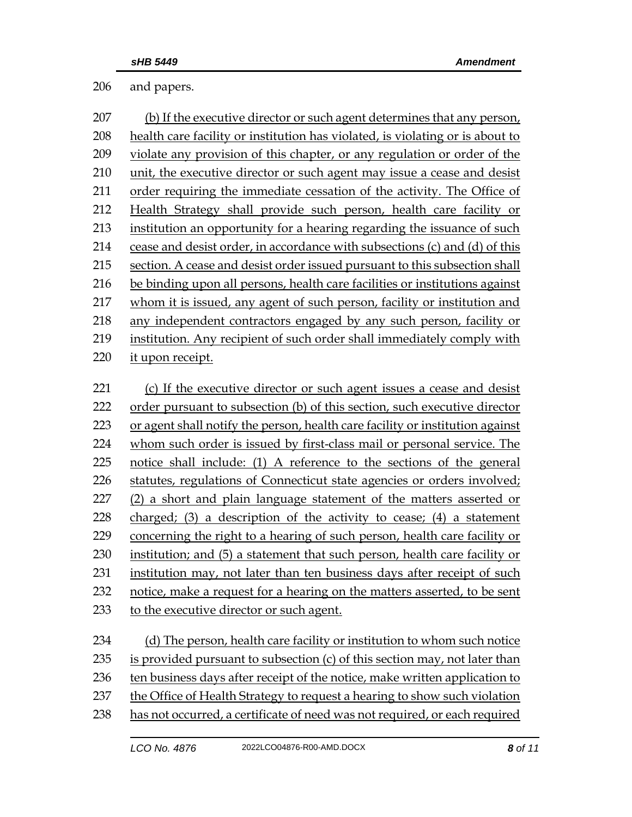and papers.

| 207 | (b) If the executive director or such agent determines that any person,       |
|-----|-------------------------------------------------------------------------------|
| 208 | health care facility or institution has violated, is violating or is about to |
| 209 | violate any provision of this chapter, or any regulation or order of the      |
| 210 | unit, the executive director or such agent may issue a cease and desist       |
| 211 | order requiring the immediate cessation of the activity. The Office of        |
| 212 | Health Strategy shall provide such person, health care facility or            |
| 213 | institution an opportunity for a hearing regarding the issuance of such       |
| 214 | cease and desist order, in accordance with subsections (c) and (d) of this    |
| 215 | section. A cease and desist order issued pursuant to this subsection shall    |
| 216 | be binding upon all persons, health care facilities or institutions against   |
| 217 | whom it is issued, any agent of such person, facility or institution and      |
| 218 | any independent contractors engaged by any such person, facility or           |
| 219 | institution. Any recipient of such order shall immediately comply with        |
| 220 | it upon receipt.                                                              |
|     |                                                                               |
| 221 | (c) If the executive director or such agent issues a cease and desist         |
| 222 | order pursuant to subsection (b) of this section, such executive director     |
| 223 | or agent shall notify the person, health care facility or institution against |
| 224 | whom such order is issued by first-class mail or personal service. The        |
| 225 | notice shall include: (1) A reference to the sections of the general          |
| 226 | statutes, regulations of Connecticut state agencies or orders involved;       |
| 227 | (2) a short and plain language statement of the matters asserted or           |
| 228 | charged; (3) a description of the activity to cease; (4) a statement          |
| 229 | concerning the right to a hearing of such person, health care facility or     |
| 230 | institution; and (5) a statement that such person, health care facility or    |
| 231 | institution may, not later than ten business days after receipt of such       |
| 232 | notice, make a request for a hearing on the matters asserted, to be sent      |
| 233 | to the executive director or such agent.                                      |
|     |                                                                               |
| 234 | (d) The person, health care facility or institution to whom such notice       |
| 235 | is provided pursuant to subsection (c) of this section may, not later than    |
| 236 | ten business days after receipt of the notice, make written application to    |
| 237 | the Office of Health Strategy to request a hearing to show such violation     |

238 has not occurred, a certificate of need was not required, or each required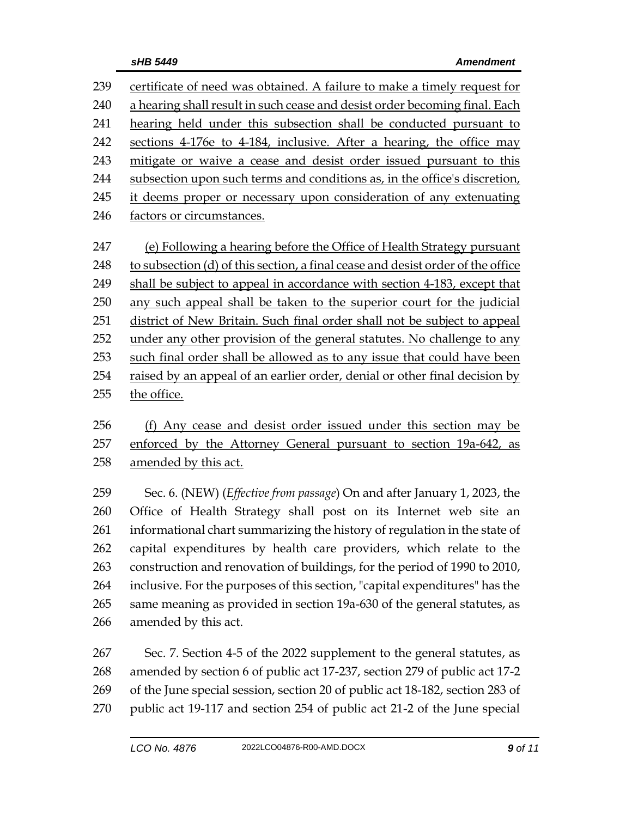| 239 | certificate of need was obtained. A failure to make a timely request for        |
|-----|---------------------------------------------------------------------------------|
| 240 | a hearing shall result in such cease and desist order becoming final. Each      |
| 241 | hearing held under this subsection shall be conducted pursuant to               |
| 242 | sections 4-176e to 4-184, inclusive. After a hearing, the office may            |
| 243 | mitigate or waive a cease and desist order issued pursuant to this              |
| 244 | subsection upon such terms and conditions as, in the office's discretion,       |
| 245 | it deems proper or necessary upon consideration of any extenuating              |
| 246 | factors or circumstances.                                                       |
|     |                                                                                 |
| 247 | (e) Following a hearing before the Office of Health Strategy pursuant           |
| 248 | to subsection (d) of this section, a final cease and desist order of the office |
| 249 | shall be subject to appeal in accordance with section 4-183, except that        |
| 250 | any such appeal shall be taken to the superior court for the judicial           |
| 251 | district of New Britain. Such final order shall not be subject to appeal        |
| 252 | under any other provision of the general statutes. No challenge to any          |
| 253 | such final order shall be allowed as to any issue that could have been          |
| 254 | raised by an appeal of an earlier order, denial or other final decision by      |
| 255 | the office.                                                                     |
|     |                                                                                 |

256 (f) Any cease and desist order issued under this section may be 257 enforced by the Attorney General pursuant to section 19a-642, as 258 amended by this act.

 Sec. 6. (NEW) (*Effective from passage*) On and after January 1, 2023, the Office of Health Strategy shall post on its Internet web site an informational chart summarizing the history of regulation in the state of capital expenditures by health care providers, which relate to the construction and renovation of buildings, for the period of 1990 to 2010, inclusive. For the purposes of this section, "capital expenditures" has the same meaning as provided in section 19a-630 of the general statutes, as amended by this act.

 Sec. 7. Section 4-5 of the 2022 supplement to the general statutes, as amended by section 6 of public act 17-237, section 279 of public act 17-2 of the June special session, section 20 of public act 18-182, section 283 of public act 19-117 and section 254 of public act 21-2 of the June special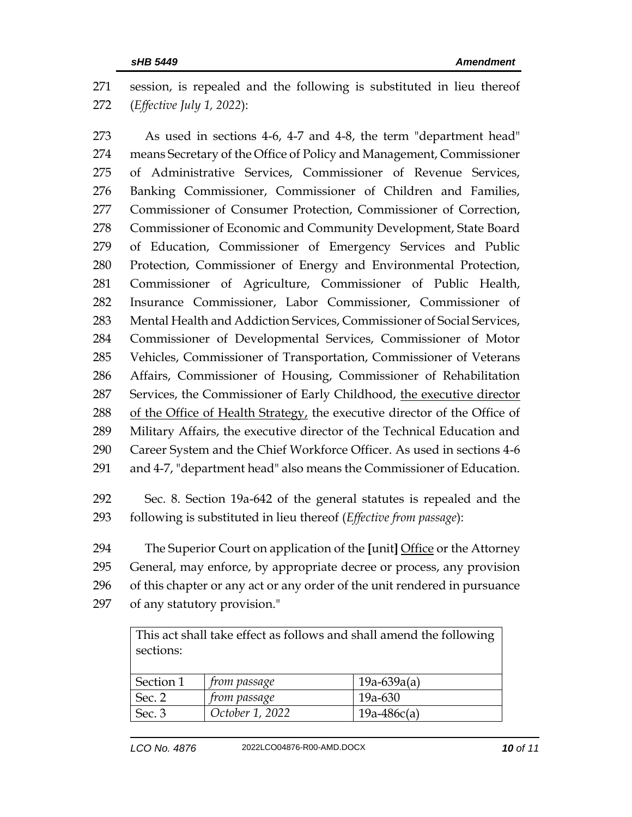session, is repealed and the following is substituted in lieu thereof (*Effective July 1, 2022*):

 As used in sections 4-6, 4-7 and 4-8, the term "department head" means Secretary of the Office of Policy and Management, Commissioner of Administrative Services, Commissioner of Revenue Services, Banking Commissioner, Commissioner of Children and Families, Commissioner of Consumer Protection, Commissioner of Correction, Commissioner of Economic and Community Development, State Board of Education, Commissioner of Emergency Services and Public Protection, Commissioner of Energy and Environmental Protection, Commissioner of Agriculture, Commissioner of Public Health, Insurance Commissioner, Labor Commissioner, Commissioner of Mental Health and Addiction Services, Commissioner of Social Services, Commissioner of Developmental Services, Commissioner of Motor Vehicles, Commissioner of Transportation, Commissioner of Veterans Affairs, Commissioner of Housing, Commissioner of Rehabilitation Services, the Commissioner of Early Childhood, the executive director 288 of the Office of Health Strategy, the executive director of the Office of Military Affairs, the executive director of the Technical Education and Career System and the Chief Workforce Officer. As used in sections 4-6 and 4-7, "department head" also means the Commissioner of Education.

 Sec. 8. Section 19a-642 of the general statutes is repealed and the following is substituted in lieu thereof (*Effective from passage*):

 The Superior Court on application of the **[**unit**]** Office or the Attorney General, may enforce, by appropriate decree or process, any provision of this chapter or any act or any order of the unit rendered in pursuance of any statutory provision."

This act shall take effect as follows and shall amend the following sections:

| Section 1     | <i>from passage</i> | $19a-639a(a)$ |
|---------------|---------------------|---------------|
| Sec. $\angle$ | <i>from passage</i> | 19a-630       |
| Sec. 3        | October 1, 2022     | $19a-486c(a)$ |